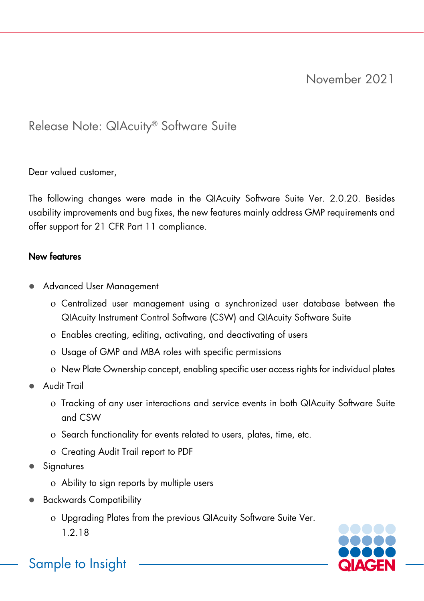# Release Note: QIAcuity® Software Suite

Dear valued customer,

The following changes were made in the QIAcuity Software Suite Ver. 2.0.20. Besides usability improvements and bug fixes, the new features mainly address GMP requirements and offer support for 21 CFR Part 11 compliance.

### New features

- Advanced User Management
	- ο Centralized user management using a synchronized user database between the QIAcuity Instrument Control Software (CSW) and QIAcuity Software Suite
	- ο Enables creating, editing, activating, and deactivating of users
	- ο Usage of GMP and MBA roles with specific permissions
	- ο New Plate Ownership concept, enabling specific user access rights for individual plates
- Audit Trail
	- ο Tracking of any user interactions and service events in both QIAcuity Software Suite and CSW
	- ο Search functionality for events related to users, plates, time, etc.
	- ο Creating Audit Trail report to PDF
- Signatures
	- ο Ability to sign reports by multiple users
- Backwards Compatibility
	- ο Upgrading Plates from the previous QIAcuity Software Suite Ver. 1.2.18



Sample to Insight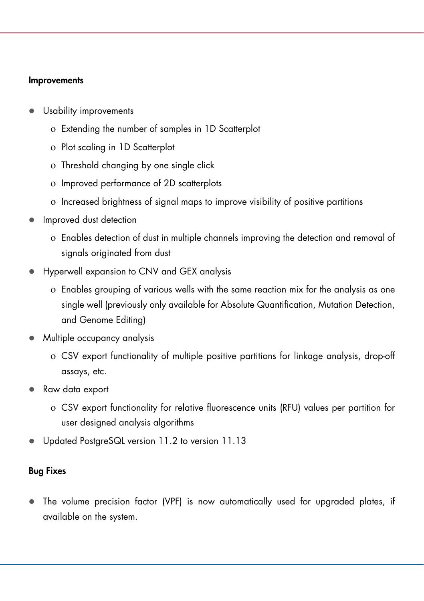#### Improvements

- Usability improvements
	- ο Extending the number of samples in 1D Scatterplot
	- ο Plot scaling in 1D Scatterplot
	- ο Threshold changing by one single click
	- ο Improved performance of 2D scatterplots
	- ο Increased brightness of signal maps to improve visibility of positive partitions
- Improved dust detection
	- ο Enables detection of dust in multiple channels improving the detection and removal of signals originated from dust
- Hyperwell expansion to CNV and GEX analysis
	- ο Enables grouping of various wells with the same reaction mix for the analysis as one single well (previously only available for Absolute Quantification, Mutation Detection, and Genome Editing)
- Multiple occupancy analysis
	- ο CSV export functionality of multiple positive partitions for linkage analysis, drop-off assays, etc.
- Raw data export
	- ο CSV export functionality for relative fluorescence units (RFU) values per partition for user designed analysis algorithms
- Updated PostgreSQL version 11.2 to version 11.13

## Bug Fixes

 The volume precision factor (VPF) is now automatically used for upgraded plates, if available on the system.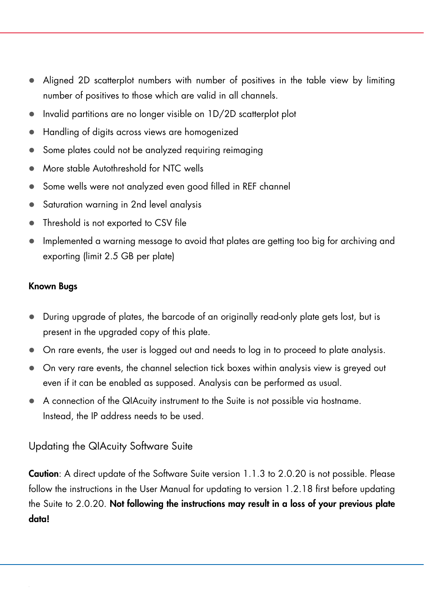- Aligned 2D scatterplot numbers with number of positives in the table view by limiting number of positives to those which are valid in all channels.
- Invalid partitions are no longer visible on 1D/2D scatterplot plot
- Handling of digits across views are homogenized
- Some plates could not be analyzed requiring reimaging
- More stable Autothreshold for NTC wells
- Some wells were not analyzed even good filled in REF channel
- Saturation warning in 2nd level analysis
- Threshold is not exported to CSV file
- Implemented a warning message to avoid that plates are getting too big for archiving and exporting (limit 2.5 GB per plate)

#### Known Bugs

- During upgrade of plates, the barcode of an originally read-only plate gets lost, but is present in the upgraded copy of this plate.
- On rare events, the user is logged out and needs to log in to proceed to plate analysis.
- On very rare events, the channel selection tick boxes within analysis view is greyed out even if it can be enabled as supposed. Analysis can be performed as usual.
- A connection of the QIAcuity instrument to the Suite is not possible via hostname. Instead, the IP address needs to be used.

## Updating the QIAcuity Software Suite

Caution: A direct update of the Software Suite version 1.1.3 to 2.0.20 is not possible. Please follow the instructions in the User Manual for updating to version 1.2.18 first before updating the Suite to 2.0.20. Not following the instructions may result in a loss of your previous plate data!